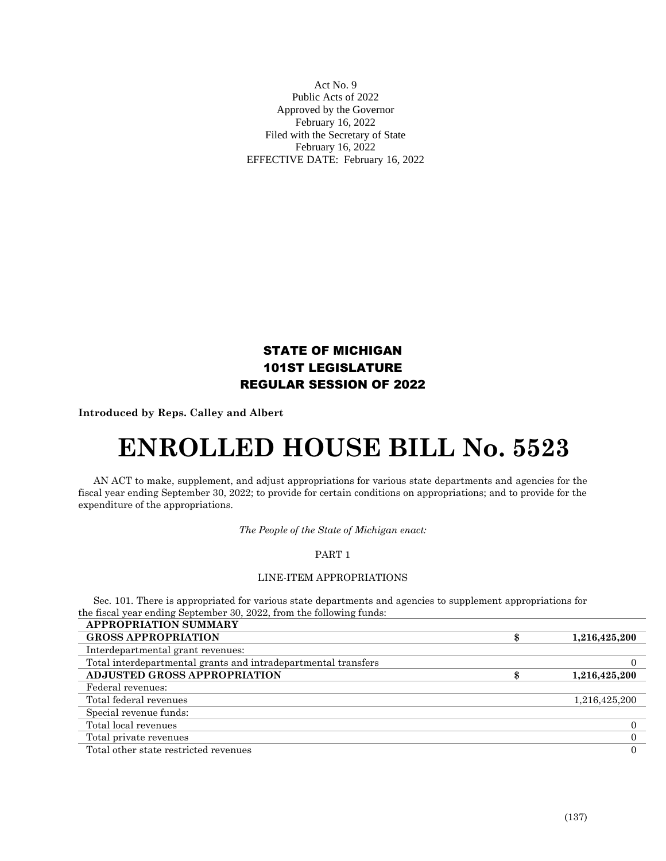Act No. 9 Public Acts of 2022 Approved by the Governor February 16, 2022 Filed with the Secretary of State February 16, 2022 EFFECTIVE DATE: February 16, 2022

# STATE OF MICHIGAN 101ST LEGISLATURE REGULAR SESSION OF 2022

**Introduced by Reps. Calley and Albert**

# **ENROLLED HOUSE BILL No. 5523**

AN ACT to make, supplement, and adjust appropriations for various state departments and agencies for the fiscal year ending September 30, 2022; to provide for certain conditions on appropriations; and to provide for the expenditure of the appropriations.

*The People of the State of Michigan enact:*

# PART 1

## LINE-ITEM APPROPRIATIONS

Sec. 101. There is appropriated for various state departments and agencies to supplement appropriations for the fiscal year ending September 30, 2022, from the following funds:

| <b>APPROPRIATION SUMMARY</b>                                   |               |
|----------------------------------------------------------------|---------------|
| <b>GROSS APPROPRIATION</b>                                     | 1,216,425,200 |
| Interdepartmental grant revenues:                              |               |
| Total interdepartmental grants and intradepartmental transfers |               |
| <b>ADJUSTED GROSS APPROPRIATION</b>                            | 1,216,425,200 |
| Federal revenues:                                              |               |
| Total federal revenues                                         | 1,216,425,200 |
| Special revenue funds:                                         |               |
| Total local revenues                                           |               |
| Total private revenues                                         | 0             |
| Total other state restricted revenues                          | $\Omega$      |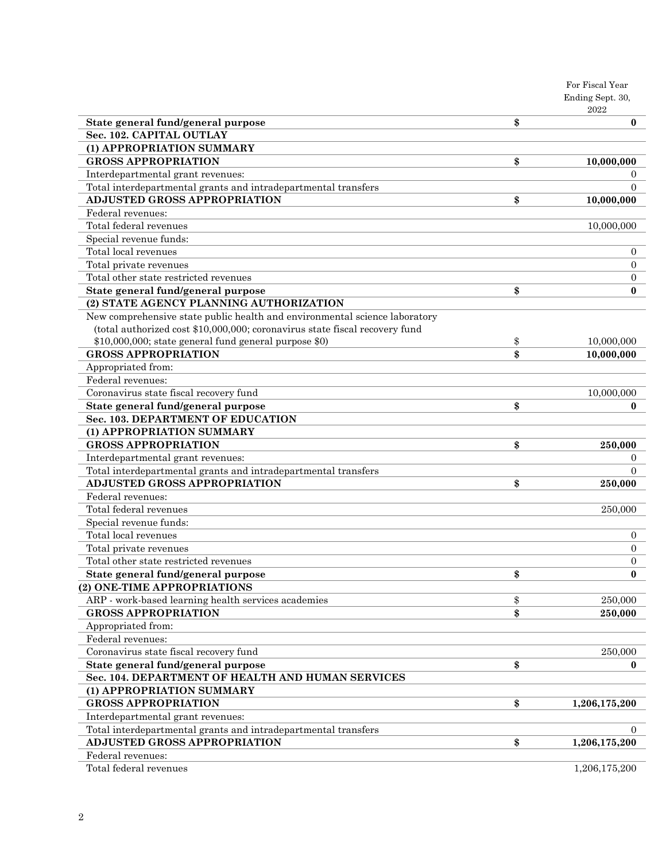|                                                                             | For Fiscal Year          |
|-----------------------------------------------------------------------------|--------------------------|
|                                                                             | Ending Sept. 30,<br>2022 |
| State general fund/general purpose                                          | \$<br>$\bf{0}$           |
| Sec. 102. CAPITAL OUTLAY                                                    |                          |
| (1) APPROPRIATION SUMMARY                                                   |                          |
| <b>GROSS APPROPRIATION</b>                                                  | \$<br>10,000,000         |
| Interdepartmental grant revenues:                                           | $\theta$                 |
| Total interdepartmental grants and intradepartmental transfers              | $\Omega$                 |
| <b>ADJUSTED GROSS APPROPRIATION</b>                                         | \$<br>10,000,000         |
| Federal revenues:                                                           |                          |
| Total federal revenues                                                      | 10,000,000               |
| Special revenue funds:                                                      |                          |
| Total local revenues                                                        | $\mathbf{0}$             |
| Total private revenues                                                      | $\overline{0}$           |
| Total other state restricted revenues                                       | $\overline{0}$           |
| State general fund/general purpose                                          | \$<br>$\bf{0}$           |
| (2) STATE AGENCY PLANNING AUTHORIZATION                                     |                          |
| New comprehensive state public health and environmental science laboratory  |                          |
| (total authorized cost \$10,000,000; coronavirus state fiscal recovery fund |                          |
| \$10,000,000; state general fund general purpose \$0)                       | \$<br>10,000,000         |
| <b>GROSS APPROPRIATION</b>                                                  | \$<br>10,000,000         |
| Appropriated from:                                                          |                          |
| Federal revenues:                                                           |                          |
| Coronavirus state fiscal recovery fund                                      | 10,000,000               |
| State general fund/general purpose                                          | \$<br>$\bf{0}$           |
| Sec. 103. DEPARTMENT OF EDUCATION                                           |                          |
| (1) APPROPRIATION SUMMARY                                                   |                          |
| <b>GROSS APPROPRIATION</b>                                                  | \$<br>250,000            |
| Interdepartmental grant revenues:                                           | $\theta$                 |
| Total interdepartmental grants and intradepartmental transfers              | $\Omega$                 |
| <b>ADJUSTED GROSS APPROPRIATION</b>                                         | \$<br>250,000            |
| Federal revenues:                                                           |                          |
| Total federal revenues                                                      | 250,000                  |
| Special revenue funds:                                                      |                          |
| Total local revenues                                                        | $\mathbf{0}$             |
| Total private revenues                                                      | $\overline{0}$           |
| Total other state restricted revenues                                       | $\overline{0}$           |
| State general fund/general purpose                                          | \$<br>$\bf{0}$           |
| (2) ONE-TIME APPROPRIATIONS                                                 |                          |
| ARP - work-based learning health services academies                         | \$<br>250,000            |
| <b>GROSS APPROPRIATION</b>                                                  | \$<br>250,000            |
| Appropriated from:                                                          |                          |
| Federal revenues:                                                           |                          |
| Coronavirus state fiscal recovery fund                                      | 250,000                  |
| State general fund/general purpose                                          | \$<br>$\bf{0}$           |
| Sec. 104. DEPARTMENT OF HEALTH AND HUMAN SERVICES                           |                          |
| (1) APPROPRIATION SUMMARY                                                   |                          |
| <b>GROSS APPROPRIATION</b>                                                  | \$<br>1,206,175,200      |
| Interdepartmental grant revenues:                                           |                          |
| Total interdepartmental grants and intradepartmental transfers              | $\Omega$                 |
| <b>ADJUSTED GROSS APPROPRIATION</b>                                         | \$<br>1,206,175,200      |
| Federal revenues:                                                           |                          |
| Total federal revenues                                                      | 1,206,175,200            |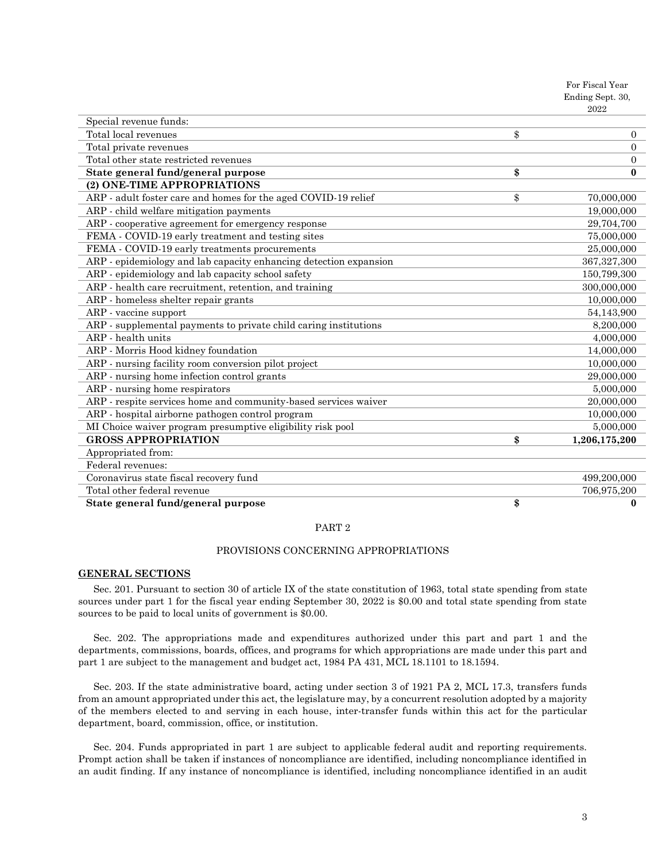|                                                                   | 404Z                 |
|-------------------------------------------------------------------|----------------------|
| Special revenue funds:                                            |                      |
| Total local revenues                                              | \$<br>$\overline{0}$ |
| Total private revenues                                            | $\Omega$             |
| Total other state restricted revenues                             | $\overline{0}$       |
| State general fund/general purpose                                | \$<br>$\bf{0}$       |
| (2) ONE-TIME APPROPRIATIONS                                       |                      |
| ARP - adult foster care and homes for the aged COVID-19 relief    | \$<br>70,000,000     |
| ARP - child welfare mitigation payments                           | 19,000,000           |
| ARP - cooperative agreement for emergency response                | 29,704,700           |
| FEMA - COVID-19 early treatment and testing sites                 | 75,000,000           |
| FEMA - COVID-19 early treatments procurements                     | 25,000,000           |
| ARP - epidemiology and lab capacity enhancing detection expansion | 367,327,300          |
| ARP - epidemiology and lab capacity school safety                 | 150,799,300          |
| ARP - health care recruitment, retention, and training            | 300,000,000          |
| ARP - homeless shelter repair grants                              | 10,000,000           |
| ARP - vaccine support                                             | 54,143,900           |
| ARP - supplemental payments to private child caring institutions  | 8,200,000            |
| ARP - health units                                                | 4,000,000            |
| ARP - Morris Hood kidney foundation                               | 14,000,000           |
| ARP - nursing facility room conversion pilot project              | 10,000,000           |
| ARP - nursing home infection control grants                       | 29,000,000           |
| ARP - nursing home respirators                                    | 5,000,000            |
| ARP - respite services home and community-based services waiver   | 20,000,000           |
| ARP - hospital airborne pathogen control program                  | 10,000,000           |
| MI Choice waiver program presumptive eligibility risk pool        | 5,000,000            |
| <b>GROSS APPROPRIATION</b>                                        | \$<br>1,206,175,200  |
| Appropriated from:                                                |                      |
| Federal revenues:                                                 |                      |
| Coronavirus state fiscal recovery fund                            | 499,200,000          |
| Total other federal revenue                                       | 706,975,200          |
| State general fund/general purpose                                | \$<br>$\bf{0}$       |

#### PART 2

#### PROVISIONS CONCERNING APPROPRIATIONS

#### **GENERAL SECTIONS**

Sec. 201. Pursuant to section 30 of article IX of the state constitution of 1963, total state spending from state sources under part 1 for the fiscal year ending September 30, 2022 is \$0.00 and total state spending from state sources to be paid to local units of government is \$0.00.

Sec. 202. The appropriations made and expenditures authorized under this part and part 1 and the departments, commissions, boards, offices, and programs for which appropriations are made under this part and part 1 are subject to the management and budget act, 1984 PA 431, MCL 18.1101 to 18.1594.

Sec. 203. If the state administrative board, acting under section 3 of 1921 PA 2, MCL 17.3, transfers funds from an amount appropriated under this act, the legislature may, by a concurrent resolution adopted by a majority of the members elected to and serving in each house, inter-transfer funds within this act for the particular department, board, commission, office, or institution.

Sec. 204. Funds appropriated in part 1 are subject to applicable federal audit and reporting requirements. Prompt action shall be taken if instances of noncompliance are identified, including noncompliance identified in an audit finding. If any instance of noncompliance is identified, including noncompliance identified in an audit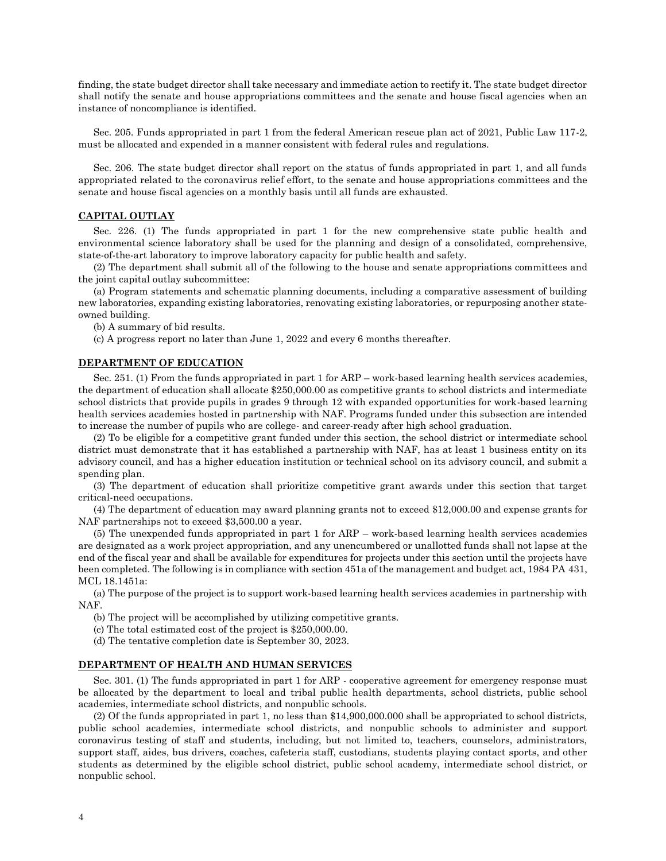finding, the state budget director shall take necessary and immediate action to rectify it. The state budget director shall notify the senate and house appropriations committees and the senate and house fiscal agencies when an instance of noncompliance is identified.

Sec. 205. Funds appropriated in part 1 from the federal American rescue plan act of 2021, Public Law 117-2, must be allocated and expended in a manner consistent with federal rules and regulations.

Sec. 206. The state budget director shall report on the status of funds appropriated in part 1, and all funds appropriated related to the coronavirus relief effort, to the senate and house appropriations committees and the senate and house fiscal agencies on a monthly basis until all funds are exhausted.

### **CAPITAL OUTLAY**

Sec. 226. (1) The funds appropriated in part 1 for the new comprehensive state public health and environmental science laboratory shall be used for the planning and design of a consolidated, comprehensive, state-of-the-art laboratory to improve laboratory capacity for public health and safety.

(2) The department shall submit all of the following to the house and senate appropriations committees and the joint capital outlay subcommittee:

(a) Program statements and schematic planning documents, including a comparative assessment of building new laboratories, expanding existing laboratories, renovating existing laboratories, or repurposing another stateowned building.

(b) A summary of bid results.

(c) A progress report no later than June 1, 2022 and every 6 months thereafter.

#### **DEPARTMENT OF EDUCATION**

Sec. 251. (1) From the funds appropriated in part 1 for ARP – work-based learning health services academies, the department of education shall allocate \$250,000.00 as competitive grants to school districts and intermediate school districts that provide pupils in grades 9 through 12 with expanded opportunities for work-based learning health services academies hosted in partnership with NAF. Programs funded under this subsection are intended to increase the number of pupils who are college- and career-ready after high school graduation.

(2) To be eligible for a competitive grant funded under this section, the school district or intermediate school district must demonstrate that it has established a partnership with NAF, has at least 1 business entity on its advisory council, and has a higher education institution or technical school on its advisory council, and submit a spending plan.

(3) The department of education shall prioritize competitive grant awards under this section that target critical-need occupations.

(4) The department of education may award planning grants not to exceed \$12,000.00 and expense grants for NAF partnerships not to exceed \$3,500.00 a year.

(5) The unexpended funds appropriated in part 1 for ARP – work-based learning health services academies are designated as a work project appropriation, and any unencumbered or unallotted funds shall not lapse at the end of the fiscal year and shall be available for expenditures for projects under this section until the projects have been completed. The following is in compliance with section 451a of the management and budget act, 1984 PA 431, MCL 18.1451a:

(a) The purpose of the project is to support work-based learning health services academies in partnership with NAF.

(b) The project will be accomplished by utilizing competitive grants.

(c) The total estimated cost of the project is \$250,000.00.

(d) The tentative completion date is September 30, 2023.

#### **DEPARTMENT OF HEALTH AND HUMAN SERVICES**

Sec. 301. (1) The funds appropriated in part 1 for ARP - cooperative agreement for emergency response must be allocated by the department to local and tribal public health departments, school districts, public school academies, intermediate school districts, and nonpublic schools.

(2) Of the funds appropriated in part 1, no less than \$14,900,000.000 shall be appropriated to school districts, public school academies, intermediate school districts, and nonpublic schools to administer and support coronavirus testing of staff and students, including, but not limited to, teachers, counselors, administrators, support staff, aides, bus drivers, coaches, cafeteria staff, custodians, students playing contact sports, and other students as determined by the eligible school district, public school academy, intermediate school district, or nonpublic school.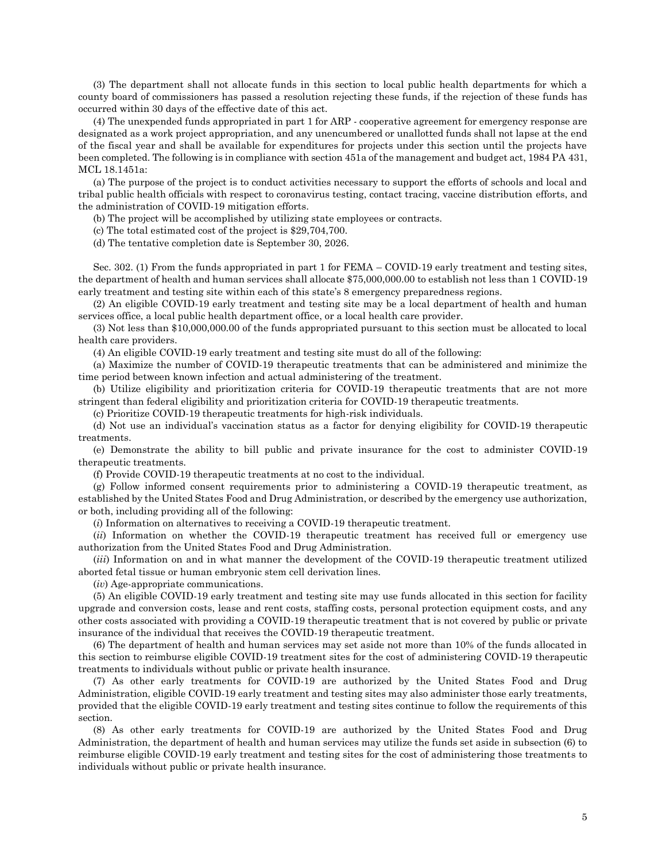(3) The department shall not allocate funds in this section to local public health departments for which a county board of commissioners has passed a resolution rejecting these funds, if the rejection of these funds has occurred within 30 days of the effective date of this act.

(4) The unexpended funds appropriated in part 1 for ARP - cooperative agreement for emergency response are designated as a work project appropriation, and any unencumbered or unallotted funds shall not lapse at the end of the fiscal year and shall be available for expenditures for projects under this section until the projects have been completed. The following is in compliance with section 451a of the management and budget act, 1984 PA 431, MCL 18.1451a:

(a) The purpose of the project is to conduct activities necessary to support the efforts of schools and local and tribal public health officials with respect to coronavirus testing, contact tracing, vaccine distribution efforts, and the administration of COVID-19 mitigation efforts.

(b) The project will be accomplished by utilizing state employees or contracts.

(c) The total estimated cost of the project is \$29,704,700.

(d) The tentative completion date is September 30, 2026.

Sec. 302. (1) From the funds appropriated in part 1 for FEMA – COVID-19 early treatment and testing sites, the department of health and human services shall allocate \$75,000,000.00 to establish not less than 1 COVID-19 early treatment and testing site within each of this state's 8 emergency preparedness regions.

(2) An eligible COVID-19 early treatment and testing site may be a local department of health and human services office, a local public health department office, or a local health care provider.

(3) Not less than \$10,000,000.00 of the funds appropriated pursuant to this section must be allocated to local health care providers.

(4) An eligible COVID-19 early treatment and testing site must do all of the following:

(a) Maximize the number of COVID-19 therapeutic treatments that can be administered and minimize the time period between known infection and actual administering of the treatment.

(b) Utilize eligibility and prioritization criteria for COVID-19 therapeutic treatments that are not more stringent than federal eligibility and prioritization criteria for COVID-19 therapeutic treatments.

(c) Prioritize COVID-19 therapeutic treatments for high-risk individuals.

(d) Not use an individual's vaccination status as a factor for denying eligibility for COVID-19 therapeutic treatments.

(e) Demonstrate the ability to bill public and private insurance for the cost to administer COVID-19 therapeutic treatments.

(f) Provide COVID-19 therapeutic treatments at no cost to the individual.

(g) Follow informed consent requirements prior to administering a COVID-19 therapeutic treatment, as established by the United States Food and Drug Administration, or described by the emergency use authorization, or both, including providing all of the following:

(*i*) Information on alternatives to receiving a COVID-19 therapeutic treatment.

(*ii*) Information on whether the COVID-19 therapeutic treatment has received full or emergency use authorization from the United States Food and Drug Administration.

(*iii*) Information on and in what manner the development of the COVID-19 therapeutic treatment utilized aborted fetal tissue or human embryonic stem cell derivation lines.

(*iv*) Age-appropriate communications.

(5) An eligible COVID-19 early treatment and testing site may use funds allocated in this section for facility upgrade and conversion costs, lease and rent costs, staffing costs, personal protection equipment costs, and any other costs associated with providing a COVID-19 therapeutic treatment that is not covered by public or private insurance of the individual that receives the COVID-19 therapeutic treatment.

(6) The department of health and human services may set aside not more than 10% of the funds allocated in this section to reimburse eligible COVID-19 treatment sites for the cost of administering COVID-19 therapeutic treatments to individuals without public or private health insurance.

(7) As other early treatments for COVID-19 are authorized by the United States Food and Drug Administration, eligible COVID-19 early treatment and testing sites may also administer those early treatments, provided that the eligible COVID-19 early treatment and testing sites continue to follow the requirements of this section.

(8) As other early treatments for COVID-19 are authorized by the United States Food and Drug Administration, the department of health and human services may utilize the funds set aside in subsection (6) to reimburse eligible COVID-19 early treatment and testing sites for the cost of administering those treatments to individuals without public or private health insurance.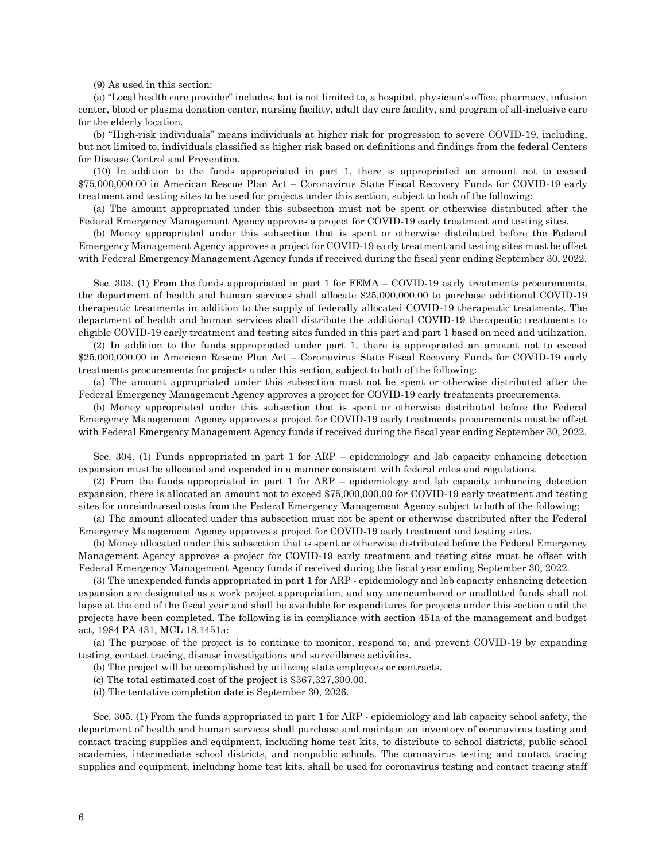(9) As used in this section:

(a) "Local health care provider" includes, but is not limited to, a hospital, physician's office, pharmacy, infusion center, blood or plasma donation center, nursing facility, adult day care facility, and program of all-inclusive care for the elderly location.

(b) "High-risk individuals" means individuals at higher risk for progression to severe COVID-19, including, but not limited to, individuals classified as higher risk based on definitions and findings from the federal Centers for Disease Control and Prevention.

(10) In addition to the funds appropriated in part 1, there is appropriated an amount not to exceed \$75,000,000.00 in American Rescue Plan Act – Coronavirus State Fiscal Recovery Funds for COVID-19 early treatment and testing sites to be used for projects under this section, subject to both of the following:

(a) The amount appropriated under this subsection must not be spent or otherwise distributed after the Federal Emergency Management Agency approves a project for COVID-19 early treatment and testing sites.

(b) Money appropriated under this subsection that is spent or otherwise distributed before the Federal Emergency Management Agency approves a project for COVID-19 early treatment and testing sites must be offset with Federal Emergency Management Agency funds if received during the fiscal year ending September 30, 2022.

Sec. 303. (1) From the funds appropriated in part 1 for FEMA – COVID-19 early treatments procurements, the department of health and human services shall allocate \$25,000,000.00 to purchase additional COVID-19 therapeutic treatments in addition to the supply of federally allocated COVID-19 therapeutic treatments. The department of health and human services shall distribute the additional COVID-19 therapeutic treatments to eligible COVID-19 early treatment and testing sites funded in this part and part 1 based on need and utilization.

(2) In addition to the funds appropriated under part 1, there is appropriated an amount not to exceed \$25,000,000.00 in American Rescue Plan Act – Coronavirus State Fiscal Recovery Funds for COVID-19 early treatments procurements for projects under this section, subject to both of the following:

(a) The amount appropriated under this subsection must not be spent or otherwise distributed after the Federal Emergency Management Agency approves a project for COVID-19 early treatments procurements.

(b) Money appropriated under this subsection that is spent or otherwise distributed before the Federal Emergency Management Agency approves a project for COVID-19 early treatments procurements must be offset with Federal Emergency Management Agency funds if received during the fiscal year ending September 30, 2022.

Sec. 304. (1) Funds appropriated in part 1 for ARP – epidemiology and lab capacity enhancing detection expansion must be allocated and expended in a manner consistent with federal rules and regulations.

(2) From the funds appropriated in part 1 for ARP – epidemiology and lab capacity enhancing detection expansion, there is allocated an amount not to exceed \$75,000,000.00 for COVID-19 early treatment and testing sites for unreimbursed costs from the Federal Emergency Management Agency subject to both of the following:

(a) The amount allocated under this subsection must not be spent or otherwise distributed after the Federal Emergency Management Agency approves a project for COVID-19 early treatment and testing sites.

(b) Money allocated under this subsection that is spent or otherwise distributed before the Federal Emergency Management Agency approves a project for COVID-19 early treatment and testing sites must be offset with Federal Emergency Management Agency funds if received during the fiscal year ending September 30, 2022.

(3) The unexpended funds appropriated in part 1 for ARP - epidemiology and lab capacity enhancing detection expansion are designated as a work project appropriation, and any unencumbered or unallotted funds shall not lapse at the end of the fiscal year and shall be available for expenditures for projects under this section until the projects have been completed. The following is in compliance with section 451a of the management and budget act, 1984 PA 431, MCL 18.1451a:

(a) The purpose of the project is to continue to monitor, respond to, and prevent COVID-19 by expanding testing, contact tracing, disease investigations and surveillance activities.

(b) The project will be accomplished by utilizing state employees or contracts.

- (c) The total estimated cost of the project is \$367,327,300.00.
- (d) The tentative completion date is September 30, 2026.

Sec. 305. (1) From the funds appropriated in part 1 for ARP - epidemiology and lab capacity school safety, the department of health and human services shall purchase and maintain an inventory of coronavirus testing and contact tracing supplies and equipment, including home test kits, to distribute to school districts, public school academies, intermediate school districts, and nonpublic schools. The coronavirus testing and contact tracing supplies and equipment, including home test kits, shall be used for coronavirus testing and contact tracing staff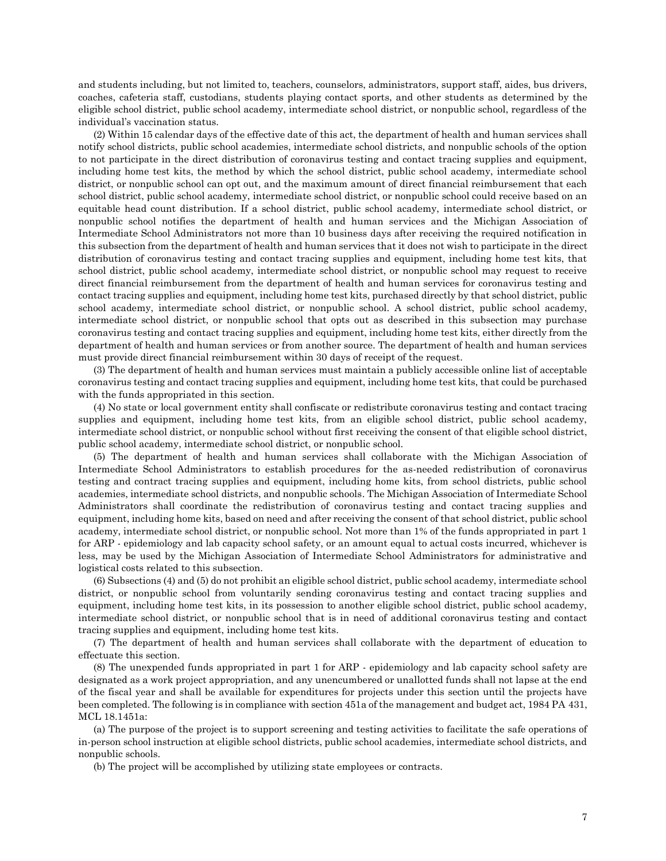and students including, but not limited to, teachers, counselors, administrators, support staff, aides, bus drivers, coaches, cafeteria staff, custodians, students playing contact sports, and other students as determined by the eligible school district, public school academy, intermediate school district, or nonpublic school, regardless of the individual's vaccination status.

(2) Within 15 calendar days of the effective date of this act, the department of health and human services shall notify school districts, public school academies, intermediate school districts, and nonpublic schools of the option to not participate in the direct distribution of coronavirus testing and contact tracing supplies and equipment, including home test kits, the method by which the school district, public school academy, intermediate school district, or nonpublic school can opt out, and the maximum amount of direct financial reimbursement that each school district, public school academy, intermediate school district, or nonpublic school could receive based on an equitable head count distribution. If a school district, public school academy, intermediate school district, or nonpublic school notifies the department of health and human services and the Michigan Association of Intermediate School Administrators not more than 10 business days after receiving the required notification in this subsection from the department of health and human services that it does not wish to participate in the direct distribution of coronavirus testing and contact tracing supplies and equipment, including home test kits, that school district, public school academy, intermediate school district, or nonpublic school may request to receive direct financial reimbursement from the department of health and human services for coronavirus testing and contact tracing supplies and equipment, including home test kits, purchased directly by that school district, public school academy, intermediate school district, or nonpublic school. A school district, public school academy, intermediate school district, or nonpublic school that opts out as described in this subsection may purchase coronavirus testing and contact tracing supplies and equipment, including home test kits, either directly from the department of health and human services or from another source. The department of health and human services must provide direct financial reimbursement within 30 days of receipt of the request.

(3) The department of health and human services must maintain a publicly accessible online list of acceptable coronavirus testing and contact tracing supplies and equipment, including home test kits, that could be purchased with the funds appropriated in this section.

(4) No state or local government entity shall confiscate or redistribute coronavirus testing and contact tracing supplies and equipment, including home test kits, from an eligible school district, public school academy, intermediate school district, or nonpublic school without first receiving the consent of that eligible school district, public school academy, intermediate school district, or nonpublic school.

(5) The department of health and human services shall collaborate with the Michigan Association of Intermediate School Administrators to establish procedures for the as-needed redistribution of coronavirus testing and contract tracing supplies and equipment, including home kits, from school districts, public school academies, intermediate school districts, and nonpublic schools. The Michigan Association of Intermediate School Administrators shall coordinate the redistribution of coronavirus testing and contact tracing supplies and equipment, including home kits, based on need and after receiving the consent of that school district, public school academy, intermediate school district, or nonpublic school. Not more than 1% of the funds appropriated in part 1 for ARP - epidemiology and lab capacity school safety, or an amount equal to actual costs incurred, whichever is less, may be used by the Michigan Association of Intermediate School Administrators for administrative and logistical costs related to this subsection.

(6) Subsections (4) and (5) do not prohibit an eligible school district, public school academy, intermediate school district, or nonpublic school from voluntarily sending coronavirus testing and contact tracing supplies and equipment, including home test kits, in its possession to another eligible school district, public school academy, intermediate school district, or nonpublic school that is in need of additional coronavirus testing and contact tracing supplies and equipment, including home test kits.

(7) The department of health and human services shall collaborate with the department of education to effectuate this section.

(8) The unexpended funds appropriated in part 1 for ARP - epidemiology and lab capacity school safety are designated as a work project appropriation, and any unencumbered or unallotted funds shall not lapse at the end of the fiscal year and shall be available for expenditures for projects under this section until the projects have been completed. The following is in compliance with section 451a of the management and budget act, 1984 PA 431, MCL 18.1451a:

(a) The purpose of the project is to support screening and testing activities to facilitate the safe operations of in-person school instruction at eligible school districts, public school academies, intermediate school districts, and nonpublic schools.

(b) The project will be accomplished by utilizing state employees or contracts.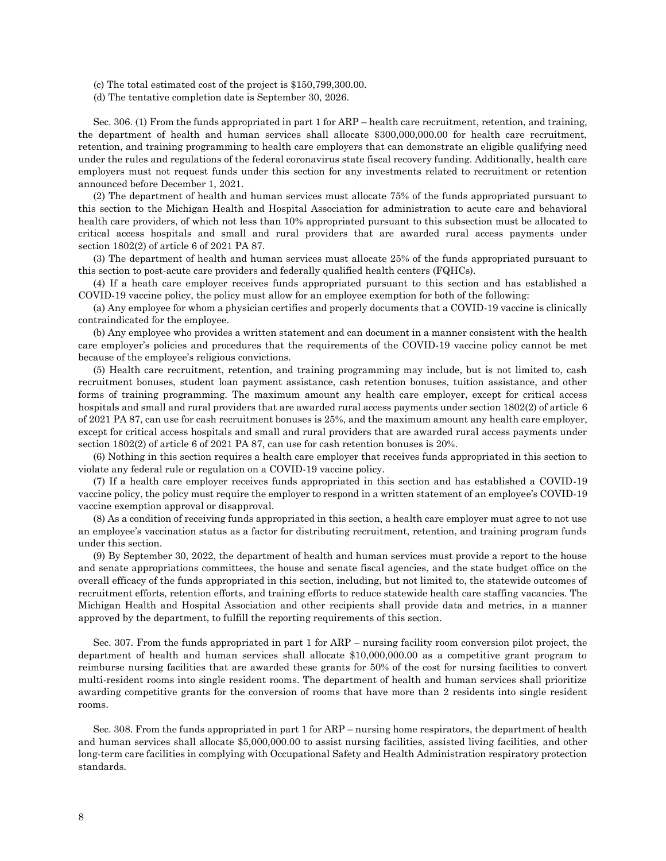(c) The total estimated cost of the project is \$150,799,300.00.

(d) The tentative completion date is September 30, 2026.

Sec. 306. (1) From the funds appropriated in part 1 for ARP – health care recruitment, retention, and training, the department of health and human services shall allocate \$300,000,000.00 for health care recruitment, retention, and training programming to health care employers that can demonstrate an eligible qualifying need under the rules and regulations of the federal coronavirus state fiscal recovery funding. Additionally, health care employers must not request funds under this section for any investments related to recruitment or retention announced before December 1, 2021.

(2) The department of health and human services must allocate 75% of the funds appropriated pursuant to this section to the Michigan Health and Hospital Association for administration to acute care and behavioral health care providers, of which not less than 10% appropriated pursuant to this subsection must be allocated to critical access hospitals and small and rural providers that are awarded rural access payments under section 1802(2) of article 6 of 2021 PA 87.

(3) The department of health and human services must allocate 25% of the funds appropriated pursuant to this section to post-acute care providers and federally qualified health centers (FQHCs).

(4) If a heath care employer receives funds appropriated pursuant to this section and has established a COVID-19 vaccine policy, the policy must allow for an employee exemption for both of the following:

(a) Any employee for whom a physician certifies and properly documents that a COVID-19 vaccine is clinically contraindicated for the employee.

(b) Any employee who provides a written statement and can document in a manner consistent with the health care employer's policies and procedures that the requirements of the COVID-19 vaccine policy cannot be met because of the employee's religious convictions.

(5) Health care recruitment, retention, and training programming may include, but is not limited to, cash recruitment bonuses, student loan payment assistance, cash retention bonuses, tuition assistance, and other forms of training programming. The maximum amount any health care employer, except for critical access hospitals and small and rural providers that are awarded rural access payments under section 1802(2) of article 6 of 2021 PA 87, can use for cash recruitment bonuses is 25%, and the maximum amount any health care employer, except for critical access hospitals and small and rural providers that are awarded rural access payments under section 1802(2) of article 6 of 2021 PA 87, can use for cash retention bonuses is 20%.

(6) Nothing in this section requires a health care employer that receives funds appropriated in this section to violate any federal rule or regulation on a COVID-19 vaccine policy.

(7) If a health care employer receives funds appropriated in this section and has established a COVID-19 vaccine policy, the policy must require the employer to respond in a written statement of an employee's COVID-19 vaccine exemption approval or disapproval.

(8) As a condition of receiving funds appropriated in this section, a health care employer must agree to not use an employee's vaccination status as a factor for distributing recruitment, retention, and training program funds under this section.

(9) By September 30, 2022, the department of health and human services must provide a report to the house and senate appropriations committees, the house and senate fiscal agencies, and the state budget office on the overall efficacy of the funds appropriated in this section, including, but not limited to, the statewide outcomes of recruitment efforts, retention efforts, and training efforts to reduce statewide health care staffing vacancies. The Michigan Health and Hospital Association and other recipients shall provide data and metrics, in a manner approved by the department, to fulfill the reporting requirements of this section.

Sec. 307. From the funds appropriated in part 1 for ARP – nursing facility room conversion pilot project, the department of health and human services shall allocate \$10,000,000.00 as a competitive grant program to reimburse nursing facilities that are awarded these grants for 50% of the cost for nursing facilities to convert multi-resident rooms into single resident rooms. The department of health and human services shall prioritize awarding competitive grants for the conversion of rooms that have more than 2 residents into single resident rooms.

Sec. 308. From the funds appropriated in part 1 for ARP – nursing home respirators, the department of health and human services shall allocate \$5,000,000.00 to assist nursing facilities, assisted living facilities, and other long-term care facilities in complying with Occupational Safety and Health Administration respiratory protection standards.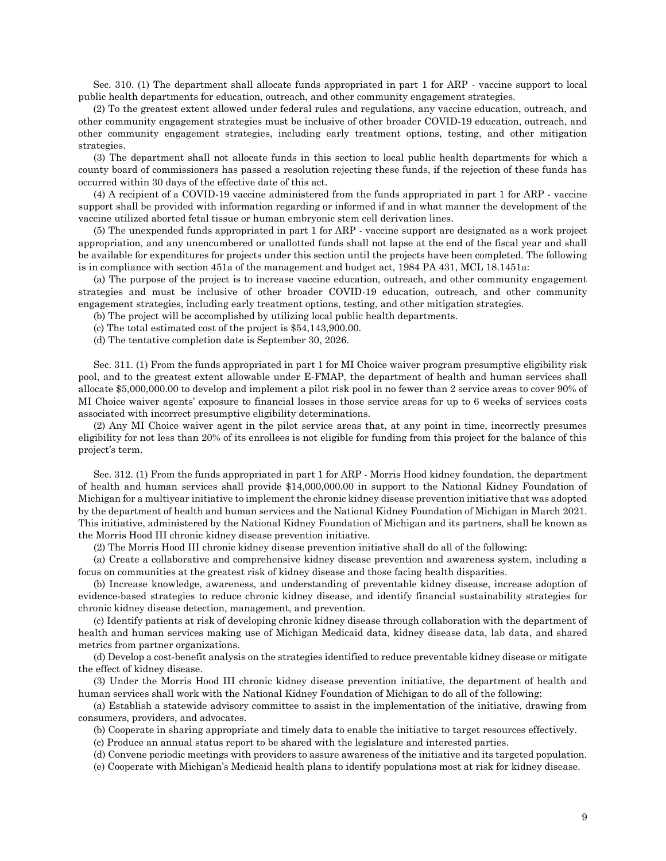Sec. 310. (1) The department shall allocate funds appropriated in part 1 for ARP - vaccine support to local public health departments for education, outreach, and other community engagement strategies.

(2) To the greatest extent allowed under federal rules and regulations, any vaccine education, outreach, and other community engagement strategies must be inclusive of other broader COVID-19 education, outreach, and other community engagement strategies, including early treatment options, testing, and other mitigation strategies.

(3) The department shall not allocate funds in this section to local public health departments for which a county board of commissioners has passed a resolution rejecting these funds, if the rejection of these funds has occurred within 30 days of the effective date of this act.

(4) A recipient of a COVID-19 vaccine administered from the funds appropriated in part 1 for ARP - vaccine support shall be provided with information regarding or informed if and in what manner the development of the vaccine utilized aborted fetal tissue or human embryonic stem cell derivation lines.

(5) The unexpended funds appropriated in part 1 for ARP - vaccine support are designated as a work project appropriation, and any unencumbered or unallotted funds shall not lapse at the end of the fiscal year and shall be available for expenditures for projects under this section until the projects have been completed. The following is in compliance with section 451a of the management and budget act, 1984 PA 431, MCL 18.1451a:

(a) The purpose of the project is to increase vaccine education, outreach, and other community engagement strategies and must be inclusive of other broader COVID-19 education, outreach, and other community engagement strategies, including early treatment options, testing, and other mitigation strategies.

(b) The project will be accomplished by utilizing local public health departments.

(c) The total estimated cost of the project is \$54,143,900.00.

(d) The tentative completion date is September 30, 2026.

Sec. 311. (1) From the funds appropriated in part 1 for MI Choice waiver program presumptive eligibility risk pool, and to the greatest extent allowable under E-FMAP, the department of health and human services shall allocate \$5,000,000.00 to develop and implement a pilot risk pool in no fewer than 2 service areas to cover 90% of MI Choice waiver agents' exposure to financial losses in those service areas for up to 6 weeks of services costs associated with incorrect presumptive eligibility determinations.

(2) Any MI Choice waiver agent in the pilot service areas that, at any point in time, incorrectly presumes eligibility for not less than 20% of its enrollees is not eligible for funding from this project for the balance of this project's term.

Sec. 312. (1) From the funds appropriated in part 1 for ARP - Morris Hood kidney foundation, the department of health and human services shall provide \$14,000,000.00 in support to the National Kidney Foundation of Michigan for a multiyear initiative to implement the chronic kidney disease prevention initiative that was adopted by the department of health and human services and the National Kidney Foundation of Michigan in March 2021. This initiative, administered by the National Kidney Foundation of Michigan and its partners, shall be known as the Morris Hood III chronic kidney disease prevention initiative.

(2) The Morris Hood III chronic kidney disease prevention initiative shall do all of the following:

(a) Create a collaborative and comprehensive kidney disease prevention and awareness system, including a focus on communities at the greatest risk of kidney disease and those facing health disparities.

(b) Increase knowledge, awareness, and understanding of preventable kidney disease, increase adoption of evidence-based strategies to reduce chronic kidney disease, and identify financial sustainability strategies for chronic kidney disease detection, management, and prevention.

(c) Identify patients at risk of developing chronic kidney disease through collaboration with the department of health and human services making use of Michigan Medicaid data, kidney disease data, lab data, and shared metrics from partner organizations.

(d) Develop a cost-benefit analysis on the strategies identified to reduce preventable kidney disease or mitigate the effect of kidney disease.

(3) Under the Morris Hood III chronic kidney disease prevention initiative, the department of health and human services shall work with the National Kidney Foundation of Michigan to do all of the following:

(a) Establish a statewide advisory committee to assist in the implementation of the initiative, drawing from consumers, providers, and advocates.

(b) Cooperate in sharing appropriate and timely data to enable the initiative to target resources effectively.

(c) Produce an annual status report to be shared with the legislature and interested parties.

(d) Convene periodic meetings with providers to assure awareness of the initiative and its targeted population.

(e) Cooperate with Michigan's Medicaid health plans to identify populations most at risk for kidney disease.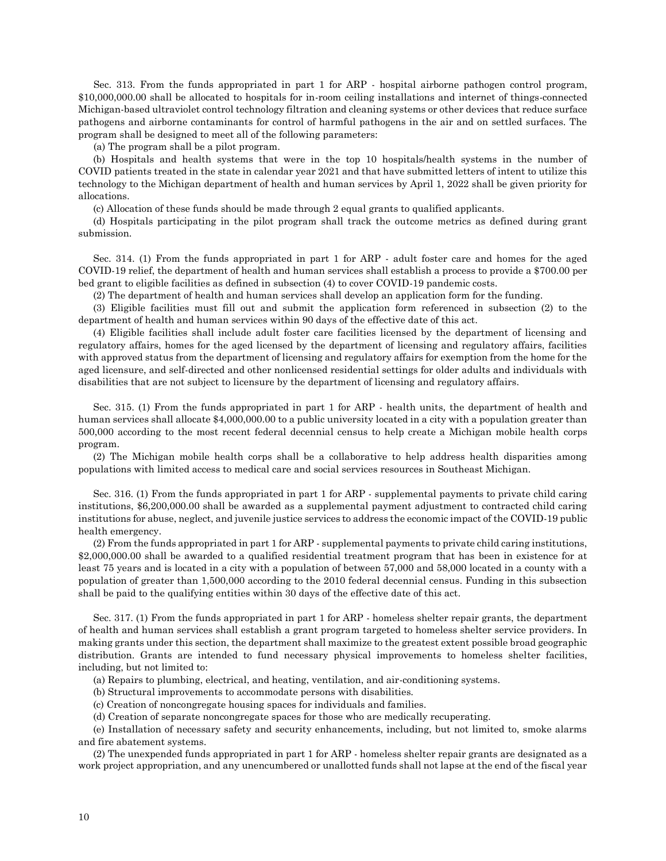Sec. 313. From the funds appropriated in part 1 for ARP - hospital airborne pathogen control program, \$10,000,000.00 shall be allocated to hospitals for in-room ceiling installations and internet of things-connected Michigan-based ultraviolet control technology filtration and cleaning systems or other devices that reduce surface pathogens and airborne contaminants for control of harmful pathogens in the air and on settled surfaces. The program shall be designed to meet all of the following parameters:

(a) The program shall be a pilot program.

(b) Hospitals and health systems that were in the top 10 hospitals/health systems in the number of COVID patients treated in the state in calendar year 2021 and that have submitted letters of intent to utilize this technology to the Michigan department of health and human services by April 1, 2022 shall be given priority for allocations.

(c) Allocation of these funds should be made through 2 equal grants to qualified applicants.

(d) Hospitals participating in the pilot program shall track the outcome metrics as defined during grant submission.

Sec. 314. (1) From the funds appropriated in part 1 for ARP - adult foster care and homes for the aged COVID-19 relief, the department of health and human services shall establish a process to provide a \$700.00 per bed grant to eligible facilities as defined in subsection (4) to cover COVID-19 pandemic costs.

(2) The department of health and human services shall develop an application form for the funding.

(3) Eligible facilities must fill out and submit the application form referenced in subsection (2) to the department of health and human services within 90 days of the effective date of this act.

(4) Eligible facilities shall include adult foster care facilities licensed by the department of licensing and regulatory affairs, homes for the aged licensed by the department of licensing and regulatory affairs, facilities with approved status from the department of licensing and regulatory affairs for exemption from the home for the aged licensure, and self-directed and other nonlicensed residential settings for older adults and individuals with disabilities that are not subject to licensure by the department of licensing and regulatory affairs.

Sec. 315. (1) From the funds appropriated in part 1 for ARP - health units, the department of health and human services shall allocate \$4,000,000.00 to a public university located in a city with a population greater than 500,000 according to the most recent federal decennial census to help create a Michigan mobile health corps program.

(2) The Michigan mobile health corps shall be a collaborative to help address health disparities among populations with limited access to medical care and social services resources in Southeast Michigan.

Sec. 316. (1) From the funds appropriated in part 1 for ARP - supplemental payments to private child caring institutions, \$6,200,000.00 shall be awarded as a supplemental payment adjustment to contracted child caring institutions for abuse, neglect, and juvenile justice services to address the economic impact of the COVID-19 public health emergency.

(2) From the funds appropriated in part 1 for ARP - supplemental payments to private child caring institutions, \$2,000,000.00 shall be awarded to a qualified residential treatment program that has been in existence for at least 75 years and is located in a city with a population of between 57,000 and 58,000 located in a county with a population of greater than 1,500,000 according to the 2010 federal decennial census. Funding in this subsection shall be paid to the qualifying entities within 30 days of the effective date of this act.

Sec. 317. (1) From the funds appropriated in part 1 for ARP - homeless shelter repair grants, the department of health and human services shall establish a grant program targeted to homeless shelter service providers. In making grants under this section, the department shall maximize to the greatest extent possible broad geographic distribution. Grants are intended to fund necessary physical improvements to homeless shelter facilities, including, but not limited to:

(a) Repairs to plumbing, electrical, and heating, ventilation, and air-conditioning systems.

(b) Structural improvements to accommodate persons with disabilities.

(c) Creation of noncongregate housing spaces for individuals and families.

(d) Creation of separate noncongregate spaces for those who are medically recuperating.

(e) Installation of necessary safety and security enhancements, including, but not limited to, smoke alarms and fire abatement systems.

(2) The unexpended funds appropriated in part 1 for ARP - homeless shelter repair grants are designated as a work project appropriation, and any unencumbered or unallotted funds shall not lapse at the end of the fiscal year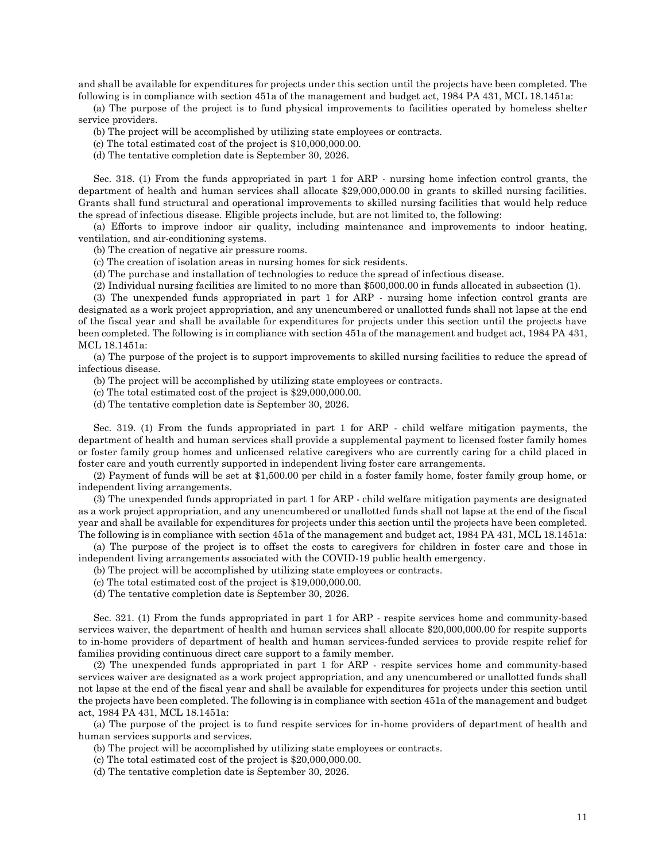and shall be available for expenditures for projects under this section until the projects have been completed. The following is in compliance with section 451a of the management and budget act, 1984 PA 431, MCL 18.1451a:

(a) The purpose of the project is to fund physical improvements to facilities operated by homeless shelter service providers.

(b) The project will be accomplished by utilizing state employees or contracts.

(c) The total estimated cost of the project is \$10,000,000.00.

(d) The tentative completion date is September 30, 2026.

Sec. 318. (1) From the funds appropriated in part 1 for ARP - nursing home infection control grants, the department of health and human services shall allocate \$29,000,000.00 in grants to skilled nursing facilities. Grants shall fund structural and operational improvements to skilled nursing facilities that would help reduce the spread of infectious disease. Eligible projects include, but are not limited to, the following:

(a) Efforts to improve indoor air quality, including maintenance and improvements to indoor heating, ventilation, and air-conditioning systems.

(b) The creation of negative air pressure rooms.

(c) The creation of isolation areas in nursing homes for sick residents.

(d) The purchase and installation of technologies to reduce the spread of infectious disease.

(2) Individual nursing facilities are limited to no more than \$500,000.00 in funds allocated in subsection (1).

(3) The unexpended funds appropriated in part 1 for ARP - nursing home infection control grants are designated as a work project appropriation, and any unencumbered or unallotted funds shall not lapse at the end of the fiscal year and shall be available for expenditures for projects under this section until the projects have been completed. The following is in compliance with section 451a of the management and budget act, 1984 PA 431, MCL 18.1451a:

(a) The purpose of the project is to support improvements to skilled nursing facilities to reduce the spread of infectious disease.

(b) The project will be accomplished by utilizing state employees or contracts.

(c) The total estimated cost of the project is \$29,000,000.00.

(d) The tentative completion date is September 30, 2026.

Sec. 319. (1) From the funds appropriated in part 1 for ARP - child welfare mitigation payments, the department of health and human services shall provide a supplemental payment to licensed foster family homes or foster family group homes and unlicensed relative caregivers who are currently caring for a child placed in foster care and youth currently supported in independent living foster care arrangements.

(2) Payment of funds will be set at \$1,500.00 per child in a foster family home, foster family group home, or independent living arrangements.

(3) The unexpended funds appropriated in part 1 for ARP - child welfare mitigation payments are designated as a work project appropriation, and any unencumbered or unallotted funds shall not lapse at the end of the fiscal year and shall be available for expenditures for projects under this section until the projects have been completed. The following is in compliance with section 451a of the management and budget act, 1984 PA 431, MCL 18.1451a:

(a) The purpose of the project is to offset the costs to caregivers for children in foster care and those in independent living arrangements associated with the COVID-19 public health emergency.

(b) The project will be accomplished by utilizing state employees or contracts.

(c) The total estimated cost of the project is \$19,000,000.00.

(d) The tentative completion date is September 30, 2026.

Sec. 321. (1) From the funds appropriated in part 1 for ARP - respite services home and community-based services waiver, the department of health and human services shall allocate \$20,000,000.00 for respite supports to in-home providers of department of health and human services-funded services to provide respite relief for families providing continuous direct care support to a family member.

(2) The unexpended funds appropriated in part 1 for ARP - respite services home and community-based services waiver are designated as a work project appropriation, and any unencumbered or unallotted funds shall not lapse at the end of the fiscal year and shall be available for expenditures for projects under this section until the projects have been completed. The following is in compliance with section 451a of the management and budget act, 1984 PA 431, MCL 18.1451a:

(a) The purpose of the project is to fund respite services for in-home providers of department of health and human services supports and services.

(b) The project will be accomplished by utilizing state employees or contracts.

(c) The total estimated cost of the project is \$20,000,000.00.

(d) The tentative completion date is September 30, 2026.